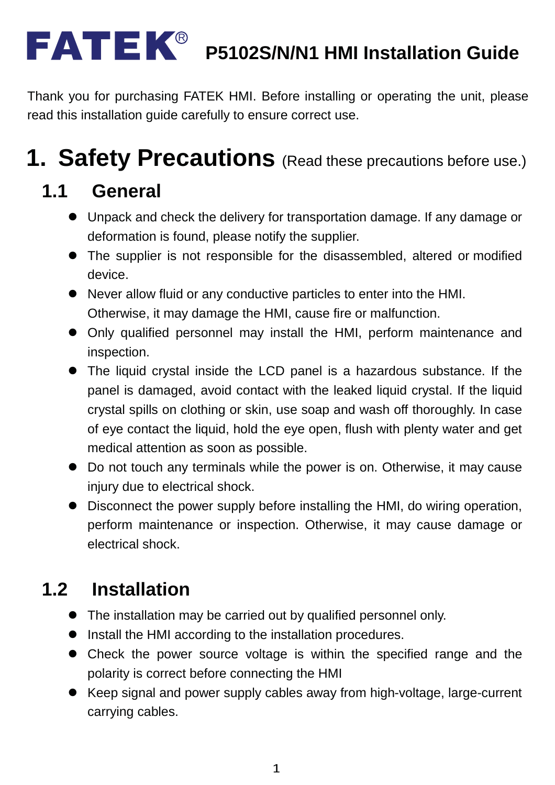#### **P5102S/N/N1 HMI Installation Guide** R

Thank you for purchasing FATEK HMI. Before installing or operating the unit, please read this installation guide carefully to ensure correct use.

## **1. Safety Precautions** (Read these precautions before use.)

#### **1.1 General**

- Unpack and check the delivery for transportation damage. If any damage or deformation is found, please notify the supplier.
- The supplier is not responsible for the disassembled, altered or modified device.
- Never allow fluid or any conductive particles to enter into the HMI. Otherwise, it may damage the HMI, cause fire or malfunction.
- Only qualified personnel may install the HMI, perform maintenance and inspection.
- The liquid crystal inside the LCD panel is a hazardous substance. If the panel is damaged, avoid contact with the leaked liquid crystal. If the liquid crystal spills on clothing or skin, use soap and wash off thoroughly. In case of eye contact the liquid, hold the eye open, flush with plenty water and get medical attention as soon as possible.
- Do not touch any terminals while the power is on. Otherwise, it may cause injury due to electrical shock.
- Disconnect the power supply before installing the HMI, do wiring operation, perform maintenance or inspection. Otherwise, it may cause damage or electrical shock.

### **1.2 Installation**

- The installation may be carried out by qualified personnel only.
- Install the HMI according to the installation procedures.
- Check the power source voltage is within the specified range and the polarity is correct before connecting the HMI
- Keep signal and power supply cables away from high-voltage, large-current carrying cables.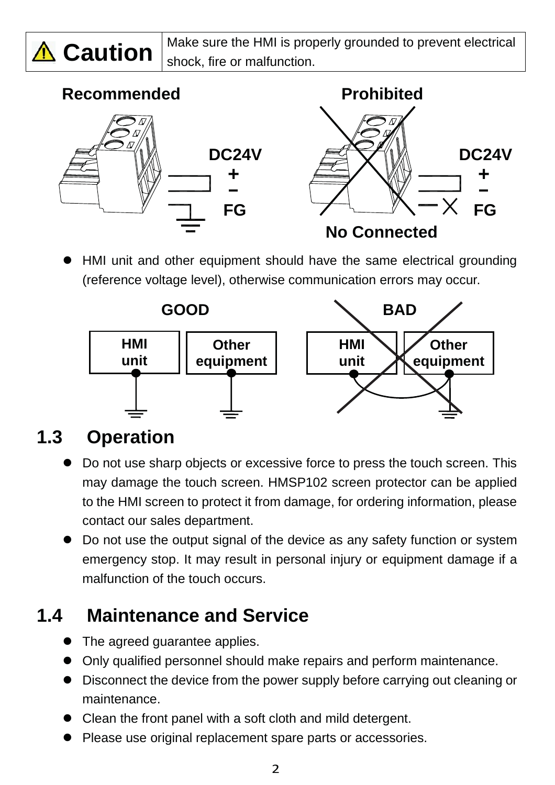

 $\bigwedge$  **Caution**  $\big|$  Make sure the HMI is properly grounded to prevent electrical shock, fire or malfunction.

#### Recommended **Prohibited DC24V + FG DC24V + FG No Connected**

HMI unit and other equipment should have the same electrical grounding (reference voltage level), otherwise communication errors may occur.



#### **1.3 Operation**

- Do not use sharp objects or excessive force to press the touch screen. This may damage the touch screen. HMSP102 screen protector can be applied to the HMI screen to protect it from damage, for ordering information, please contact our sales department.
- Do not use the output signal of the device as any safety function or system emergency stop. It may result in personal injury or equipment damage if a malfunction of the touch occurs.

#### **1.4 Maintenance and Service**

- The agreed guarantee applies.
- Only qualified personnel should make repairs and perform maintenance.
- Disconnect the device from the power supply before carrying out cleaning or maintenance.
- $\bullet$  Clean the front panel with a soft cloth and mild detergent.
- Please use original replacement spare parts or accessories.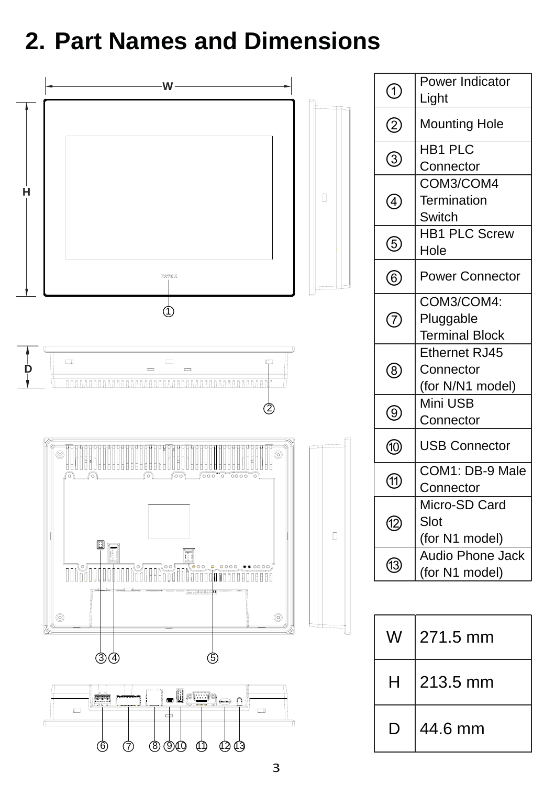## **2. Part Names and Dimensions**

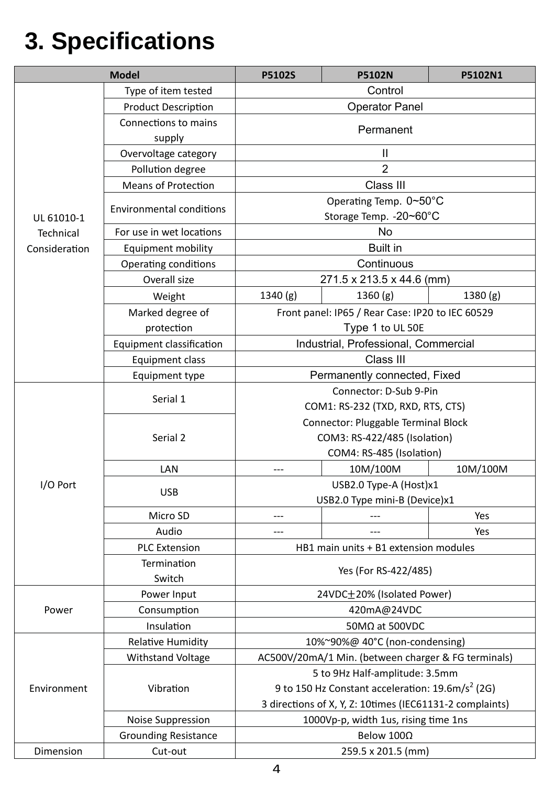# **3. Specifications**

| <b>Model</b>                             |                                 | <b>P5102S</b>                                               | <b>P5102N</b>            | P5102N1 |  |  |
|------------------------------------------|---------------------------------|-------------------------------------------------------------|--------------------------|---------|--|--|
|                                          | Type of item tested             | Control                                                     |                          |         |  |  |
| UL 61010-1<br>Technical<br>Consideration | <b>Product Description</b>      | <b>Operator Panel</b>                                       |                          |         |  |  |
|                                          | Connections to mains            |                                                             |                          |         |  |  |
|                                          | supply                          | Permanent                                                   |                          |         |  |  |
|                                          | Overvoltage category            | $\mathbf{  }$                                               |                          |         |  |  |
|                                          | Pollution degree                | $\overline{2}$                                              |                          |         |  |  |
|                                          | <b>Means of Protection</b>      | Class III                                                   |                          |         |  |  |
|                                          | <b>Environmental conditions</b> | Operating Temp. 0~50°C                                      |                          |         |  |  |
|                                          |                                 | Storage Temp. - 20~60°C                                     |                          |         |  |  |
|                                          | For use in wet locations        | <b>No</b>                                                   |                          |         |  |  |
|                                          | Equipment mobility              | <b>Built in</b>                                             |                          |         |  |  |
|                                          | Operating conditions            | Continuous                                                  |                          |         |  |  |
|                                          | Overall size                    | 271.5 x 213.5 x 44.6 (mm)                                   |                          |         |  |  |
|                                          | Weight                          | 1340(g)                                                     | 1360(g)                  | 1380(g) |  |  |
|                                          | Marked degree of                | Front panel: IP65 / Rear Case: IP20 to IEC 60529            |                          |         |  |  |
|                                          | protection                      | Type 1 to UL 50E                                            |                          |         |  |  |
|                                          | Equipment classification        | Industrial, Professional, Commercial                        |                          |         |  |  |
|                                          | Equipment class                 | Class III                                                   |                          |         |  |  |
|                                          | Equipment type                  | Permanently connected, Fixed                                |                          |         |  |  |
|                                          | Serial 1                        | Connector: D-Sub 9-Pin                                      |                          |         |  |  |
|                                          |                                 | COM1: RS-232 (TXD, RXD, RTS, CTS)                           |                          |         |  |  |
|                                          | Serial 2                        | Connector: Pluggable Terminal Block                         |                          |         |  |  |
|                                          |                                 | COM3: RS-422/485 (Isolation)                                |                          |         |  |  |
|                                          |                                 |                                                             | COM4: RS-485 (Isolation) |         |  |  |
|                                          | LAN                             | 10M/100M<br>10M/100M<br>$--$                                |                          |         |  |  |
| I/O Port                                 |                                 | USB2.0 Type-A (Host)x1                                      |                          |         |  |  |
|                                          | <b>USB</b>                      | USB2.0 Type mini-B (Device)x1                               |                          |         |  |  |
|                                          | Micro SD                        |                                                             |                          | Yes     |  |  |
|                                          | Audio                           | ---                                                         |                          | Yes     |  |  |
|                                          | <b>PLC Extension</b>            | HB1 main units + B1 extension modules                       |                          |         |  |  |
|                                          | Termination                     | Yes (For RS-422/485)                                        |                          |         |  |  |
|                                          | Switch                          |                                                             |                          |         |  |  |
|                                          | Power Input                     | 24VDC±20% (Isolated Power)                                  |                          |         |  |  |
| Power                                    | Consumption                     | 420mA@24VDC                                                 |                          |         |  |  |
|                                          | Insulation                      | 50MΩ at 500VDC                                              |                          |         |  |  |
|                                          | <b>Relative Humidity</b>        | 10%~90%@ 40°C (non-condensing)                              |                          |         |  |  |
|                                          | <b>Withstand Voltage</b>        | AC500V/20mA/1 Min. (between charger & FG terminals)         |                          |         |  |  |
|                                          | Vibration                       | 5 to 9Hz Half-amplitude: 3.5mm                              |                          |         |  |  |
| Environment                              |                                 | 9 to 150 Hz Constant acceleration: $19.6 \text{m/s}^2$ (2G) |                          |         |  |  |
|                                          |                                 | 3 directions of X, Y, Z: 10times (IEC61131-2 complaints)    |                          |         |  |  |
|                                          | Noise Suppression               | 1000Vp-p, width 1us, rising time 1ns                        |                          |         |  |  |
|                                          | <b>Grounding Resistance</b>     | Below 100Ω                                                  |                          |         |  |  |
| Dimension                                | Cut-out                         |                                                             | 259.5 x 201.5 (mm)       |         |  |  |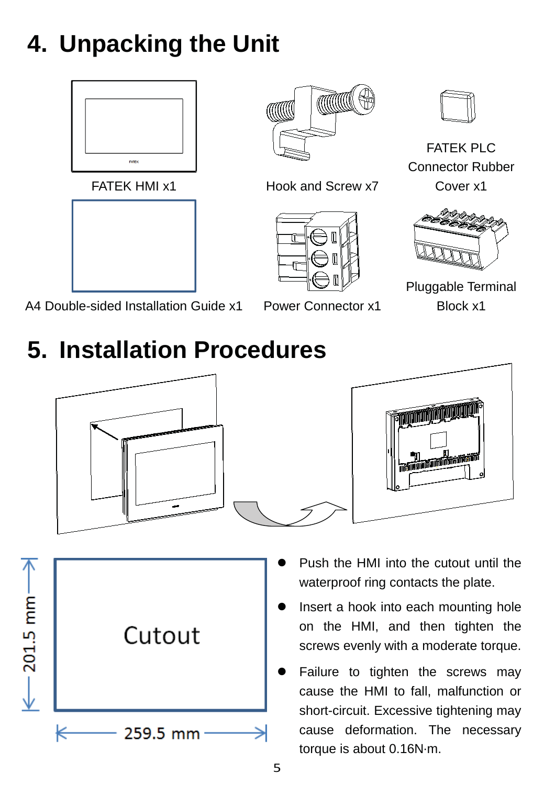# **4. Unpacking the Unit**











FATEK PLC Connector Rubber Cover x1



Pluggable Terminal Block x1

A4 Double-sided Installation Guide x1 Power Connector x1

## **5. Installation Procedures**





- $-201.5$  mm $-$ Cutout 259.5 mm
- Push the HMI into the cutout until the waterproof ring contacts the plate.
- Insert a hook into each mounting hole on the HMI, and then tighten the screws evenly with a moderate torque.
- Failure to tighten the screws may cause the HMI to fall, malfunction or short-circuit. Excessive tightening may cause deformation. The necessary torque is about 0.16N·m.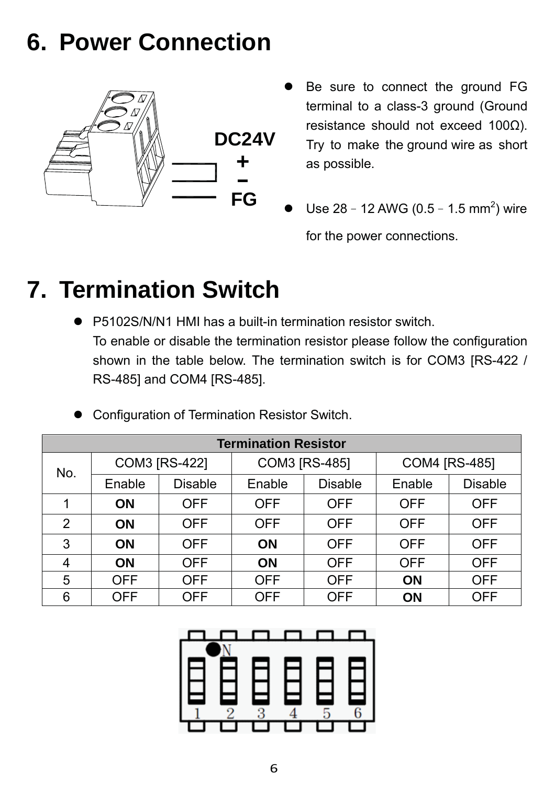### **6. Power Connection**



- Be sure to connect the ground FG terminal to a class-3 ground (Ground resistance should not exceed 100Ω). Try to make the ground wire as short as possible.
- Use 28 12 AWG (0.5 1.5 mm<sup>2</sup>) wire for the power connections.

### **7. Termination Switch**

P5102S/N/N1 HMI has a built-in termination resistor switch. To enable or disable the termination resistor please follow the configuration shown in the table below. The termination switch is for COM3 [RS-422 / RS-485] and COM4 [RS-485].

| <b>Termination Resistor</b> |                      |                |                      |                |                      |                |  |  |
|-----------------------------|----------------------|----------------|----------------------|----------------|----------------------|----------------|--|--|
| No.                         | <b>COM3 [RS-422]</b> |                | <b>COM3 [RS-485]</b> |                | <b>COM4 [RS-485]</b> |                |  |  |
|                             | Enable               | <b>Disable</b> | Enable               | <b>Disable</b> | Enable               | <b>Disable</b> |  |  |
| 1                           | ON                   | <b>OFF</b>     | <b>OFF</b>           | <b>OFF</b>     | <b>OFF</b>           | <b>OFF</b>     |  |  |
| 2                           | <b>ON</b>            | <b>OFF</b>     | <b>OFF</b>           | <b>OFF</b>     | <b>OFF</b>           | <b>OFF</b>     |  |  |
| 3                           | ON                   | <b>OFF</b>     | <b>ON</b>            | <b>OFF</b>     | <b>OFF</b>           | <b>OFF</b>     |  |  |
| 4                           | <b>ON</b>            | <b>OFF</b>     | <b>ON</b>            | <b>OFF</b>     | <b>OFF</b>           | <b>OFF</b>     |  |  |
| 5                           | <b>OFF</b>           | <b>OFF</b>     | <b>OFF</b>           | <b>OFF</b>     | <b>ON</b>            | <b>OFF</b>     |  |  |
| 6                           | <b>OFF</b>           | <b>OFF</b>     | <b>OFF</b>           | <b>OFF</b>     | <b>ON</b>            | <b>OFF</b>     |  |  |

Configuration of Termination Resistor Switch.

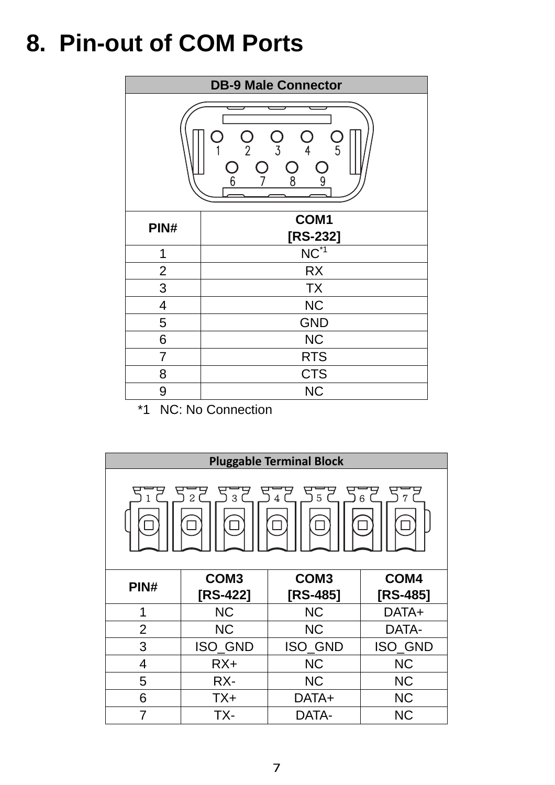## **8. Pin-out of COM Ports**

| <b>DB-9 Male Connector</b>                                                                                                      |                    |  |  |  |
|---------------------------------------------------------------------------------------------------------------------------------|--------------------|--|--|--|
| T<br>$\overline{\phantom{a}}$<br>$\overline{5}$<br>$\overline{3}$<br>$\overline{2}$<br>4<br>Û<br>ĺ.<br>$\overline{9}$<br>6<br>8 |                    |  |  |  |
| PIN#                                                                                                                            | COM1<br>$[RS-232]$ |  |  |  |
| 1                                                                                                                               | $NC^{\ast 1}$      |  |  |  |
| $\overline{2}$                                                                                                                  | <b>RX</b>          |  |  |  |
| 3                                                                                                                               | <b>TX</b>          |  |  |  |
| 4                                                                                                                               | <b>NC</b>          |  |  |  |
| 5                                                                                                                               | <b>GND</b>         |  |  |  |
| 6                                                                                                                               | <b>NC</b>          |  |  |  |
| $\overline{7}$                                                                                                                  | <b>RTS</b>         |  |  |  |
| 8                                                                                                                               | <b>CTS</b>         |  |  |  |
| 9                                                                                                                               | <b>NC</b>          |  |  |  |

\*1 NC: No Connection

| <b>Pluggable Terminal Block</b> |                  |                  |            |  |  |
|---------------------------------|------------------|------------------|------------|--|--|
| 522 532 542 552 562             |                  |                  |            |  |  |
| PIN#                            | COM <sub>3</sub> | COM <sub>3</sub> | COM4       |  |  |
|                                 | $[RS-422]$       | $[RS-485]$       | $[RS-485]$ |  |  |
| 1                               | <b>NC</b>        | <b>NC</b>        | DATA+      |  |  |
| $\overline{2}$                  | <b>NC</b>        | <b>NC</b>        | DATA-      |  |  |
|                                 |                  |                  |            |  |  |
| 3                               | ISO_GND          | ISO_GND          | ISO_GND    |  |  |
| $\overline{4}$                  | $RX+$            | <b>NC</b>        | <b>NC</b>  |  |  |
| 5                               | RX-              | <b>NC</b>        | <b>NC</b>  |  |  |
| 6                               | $TX+$            | DATA+            | <b>NC</b>  |  |  |